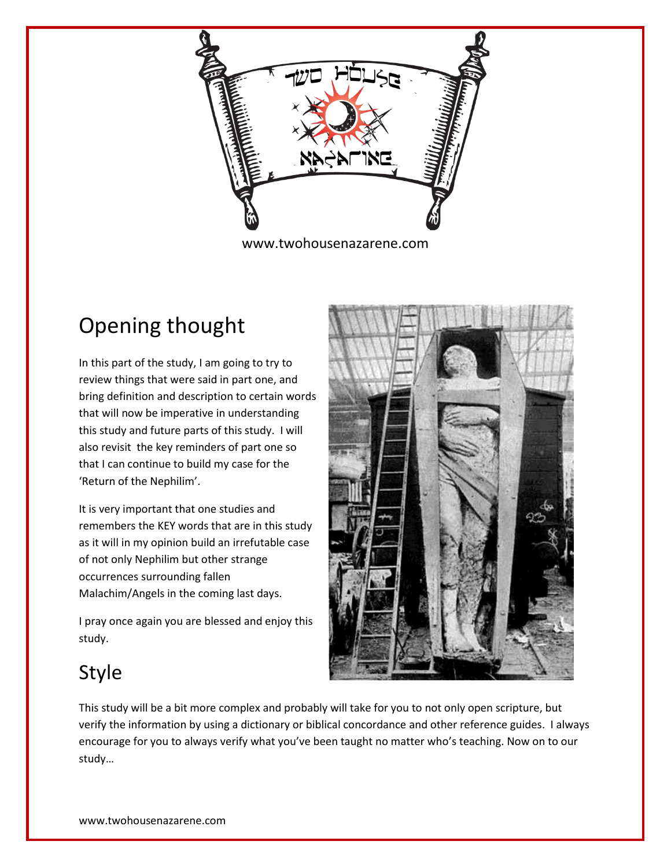

## Opening thought

In this part of the study, I am going to try to review things that were said in part one, and bring definition and description to certain words that will now be imperative in understanding this study and future parts of this study. I will also revisit the key reminders of part one so that I can continue to build my case for the 'Return of the Nephilim'.

It is very important that one studies and remembers the KEY words that are in this study as it will in my opinion build an irrefutable case of not only Nephilim but other strange occurrences surrounding fallen Malachim/Angels in the coming last days.

I pray once again you are blessed and enjoy this study.



## Style

This study will be a bit more complex and probably will take for you to not only open scripture, but verify the information by using a dictionary or biblical concordance and other reference guides. I always encourage for you to always verify what you've been taught no matter who's teaching. Now on to our study…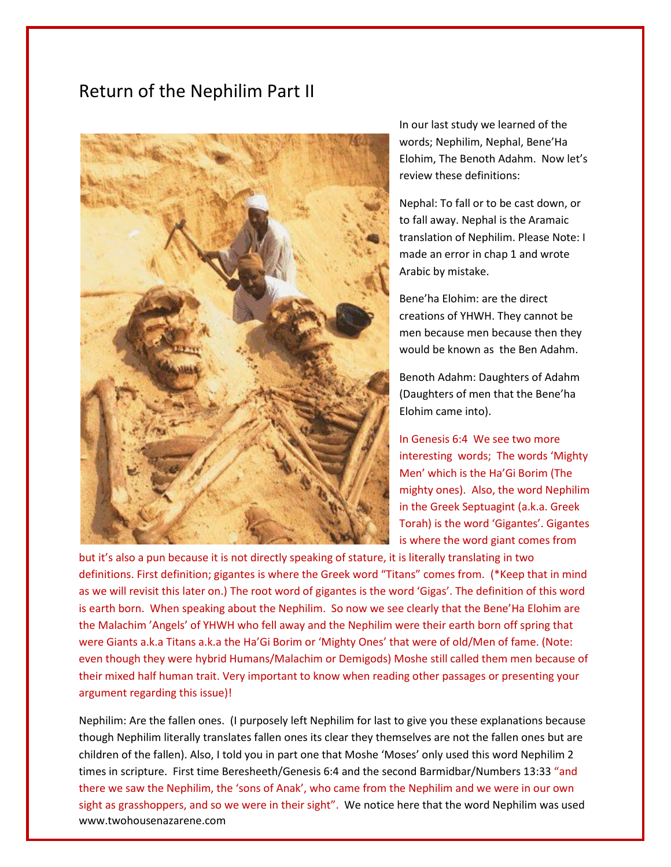## Return of the Nephilim Part II



In our last study we learned of the words; Nephilim, Nephal, Bene'Ha Elohim, The Benoth Adahm. Now let's review these definitions:

Nephal: To fall or to be cast down, or to fall away. Nephal is the Aramaic translation of Nephilim. Please Note: I made an error in chap 1 and wrote Arabic by mistake.

Bene'ha Elohim: are the direct creations of YHWH. They cannot be men because men because then they would be known as the Ben Adahm.

Benoth Adahm: Daughters of Adahm (Daughters of men that the Bene'ha Elohim came into).

In Genesis 6:4 We see two more interesting words; The words 'Mighty Men' which is the Ha'Gi Borim (The mighty ones). Also, the word Nephilim in the Greek Septuagint (a.k.a. Greek Torah) is the word 'Gigantes'. Gigantes is where the word giant comes from

but it's also a pun because it is not directly speaking of stature, it is literally translating in two definitions. First definition; gigantes is where the Greek word "Titans" comes from. (\*Keep that in mind as we will revisit this later on.) The root word of gigantes is the word 'Gigas'. The definition of this word is earth born. When speaking about the Nephilim. So now we see clearly that the Bene'Ha Elohim are the Malachim 'Angels' of YHWH who fell away and the Nephilim were their earth born off spring that were Giants a.k.a Titans a.k.a the Ha'Gi Borim or 'Mighty Ones' that were of old/Men of fame. (Note: even though they were hybrid Humans/Malachim or Demigods) Moshe still called them men because of their mixed half human trait. Very important to know when reading other passages or presenting your argument regarding this issue)!

www.twohousenazarene.com Nephilim: Are the fallen ones. (I purposely left Nephilim for last to give you these explanations because though Nephilim literally translates fallen ones its clear they themselves are not the fallen ones but are children of the fallen). Also, I told you in part one that Moshe 'Moses' only used this word Nephilim 2 times in scripture. First time Beresheeth/Genesis 6:4 and the second Barmidbar/Numbers 13:33 "and there we saw the Nephilim, the 'sons of Anak', who came from the Nephilim and we were in our own sight as grasshoppers, and so we were in their sight". We notice here that the word Nephilim was used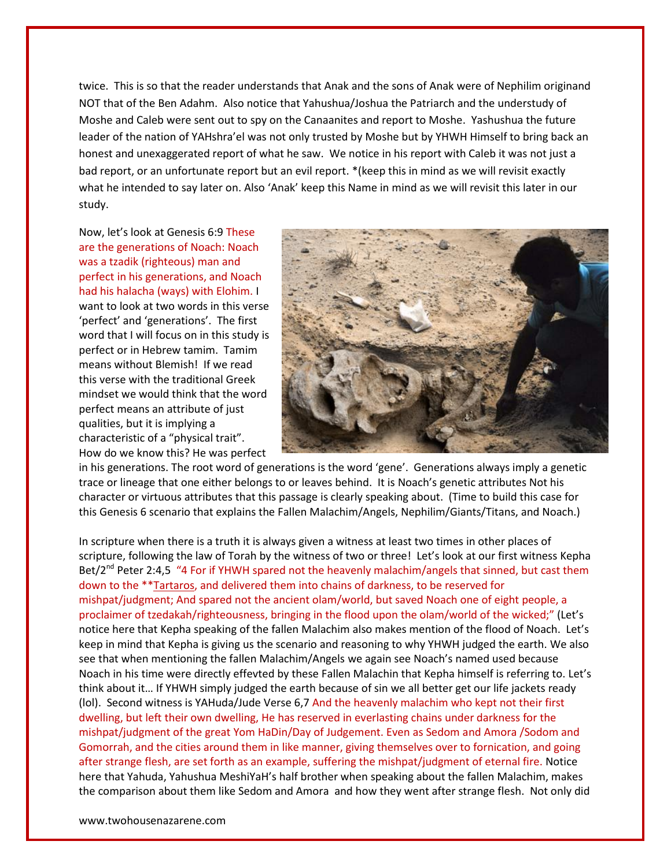twice. This is so that the reader understands that Anak and the sons of Anak were of Nephilim originand NOT that of the Ben Adahm. Also notice that Yahushua/Joshua the Patriarch and the understudy of Moshe and Caleb were sent out to spy on the Canaanites and report to Moshe. Yashushua the future leader of the nation of YAHshra'el was not only trusted by Moshe but by YHWH Himself to bring back an honest and unexaggerated report of what he saw. We notice in his report with Caleb it was not just a bad report, or an unfortunate report but an evil report. \*(keep this in mind as we will revisit exactly what he intended to say later on. Also 'Anak' keep this Name in mind as we will revisit this later in our study.

Now, let's look at Genesis 6:9 These are the generations of Noach: Noach was a tzadik (righteous) man and perfect in his generations, and Noach had his halacha (ways) with Elohim. I want to look at two words in this verse 'perfect' and 'generations'. The first word that I will focus on in this study is perfect or in Hebrew tamim. Tamim means without Blemish! If we read this verse with the traditional Greek mindset we would think that the word perfect means an attribute of just qualities, but it is implying a characteristic of a "physical trait". How do we know this? He was perfect



in his generations. The root word of generations is the word 'gene'. Generations always imply a genetic trace or lineage that one either belongs to or leaves behind. It is Noach's genetic attributes Not his character or virtuous attributes that this passage is clearly speaking about. (Time to build this case for this Genesis 6 scenario that explains the Fallen Malachim/Angels, Nephilim/Giants/Titans, and Noach.)

In scripture when there is a truth it is always given a witness at least two times in other places of scripture, following the law of Torah by the witness of two or three! Let's look at our first witness Kepha Bet/2<sup>nd</sup> Peter 2:4,5 "4 For if YHWH spared not the heavenly malachim/angels that sinned, but cast them down to the \*\*Tartaros, and delivered them into chains of darkness, to be reserved for mishpat/judgment; And spared not the ancient olam/world, but saved Noach one of eight people, a proclaimer of tzedakah/righteousness, bringing in the flood upon the olam/world of the wicked;" (Let's notice here that Kepha speaking of the fallen Malachim also makes mention of the flood of Noach. Let's keep in mind that Kepha is giving us the scenario and reasoning to why YHWH judged the earth. We also see that when mentioning the fallen Malachim/Angels we again see Noach's named used because Noach in his time were directly effevted by these Fallen Malachin that Kepha himself is referring to. Let's think about it… If YHWH simply judged the earth because of sin we all better get our life jackets ready (lol). Second witness is YAHuda/Jude Verse 6,7 And the heavenly malachim who kept not their first dwelling, but left their own dwelling, He has reserved in everlasting chains under darkness for the mishpat/judgment of the great Yom HaDin/Day of Judgement. Even as Sedom and Amora /Sodom and Gomorrah, and the cities around them in like manner, giving themselves over to fornication, and going after strange flesh, are set forth as an example, suffering the mishpat/judgment of eternal fire. Notice here that Yahuda, Yahushua MeshiYaH's half brother when speaking about the fallen Malachim, makes the comparison about them like Sedom and Amora and how they went after strange flesh. Not only did